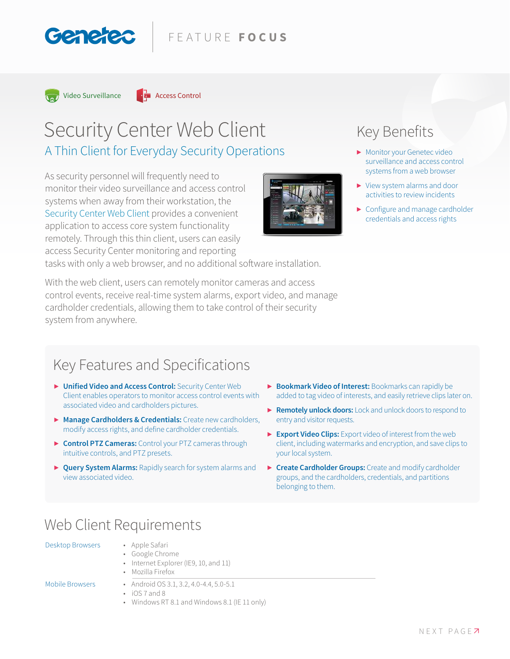



Genered

# Security Center Web Client A Thin Client for Everyday Security Operations

As security personnel will frequently need to monitor their video surveillance and access control systems when away from their workstation, the Security Center Web Client provides a convenient application to access core system functionality remotely. Through this thin client, users can easily access Security Center monitoring and reporting

tasks with only a web browser, and no additional software installation.

With the web client, users can remotely monitor cameras and access control events, receive real-time system alarms, export video, and manage cardholder credentials, allowing them to take control of their security system from anywhere.

# Key Benefits

- **▶** Monitor your Genetec video surveillance and access control systems from a web browser
- **▶** View system alarms and door activities to review incidents
- **▶** Configure and manage cardholder credentials and access rights

# Key Features and Specifications

- **▶ Unified Video and Access Control:** Security Center Web Client enables operators to monitor access control events with associated video and cardholders pictures.
- **▶ Manage Cardholders & Credentials:** Create new cardholders, modify access rights, and define cardholder credentials.
- **▶ Control PTZ Cameras:** Control your PTZ cameras through intuitive controls, and PTZ presets.
- **▶ Query System Alarms:** Rapidly search for system alarms and view associated video.
- **▶ Bookmark Video of Interest:** Bookmarks can rapidly be added to tag video of interests, and easily retrieve clips later on.
- **▶ Remotely unlock doors:** Lock and unlock doors to respond to entry and visitor requests.
- **▶ Export Video Clips:** Export video of interest from the web client, including watermarks and encryption, and save clips to your local system.
- **▶ Create Cardholder Groups:** Create and modify cardholder groups, and the cardholders, credentials, and partitions belonging to them.

# Web Client Requirements

Desktop Browsers • Apple Safari

- Google Chrome
- Internet Explorer (IE9, 10, and 11)
- Mozilla Firefox

- Mobile Browsers Android OS 3.1, 3.2, 4.0-4.4, 5.0-5.1
	- iOS 7 and 8
	- Windows RT 8.1 and Windows 8.1 (IE 11 only)